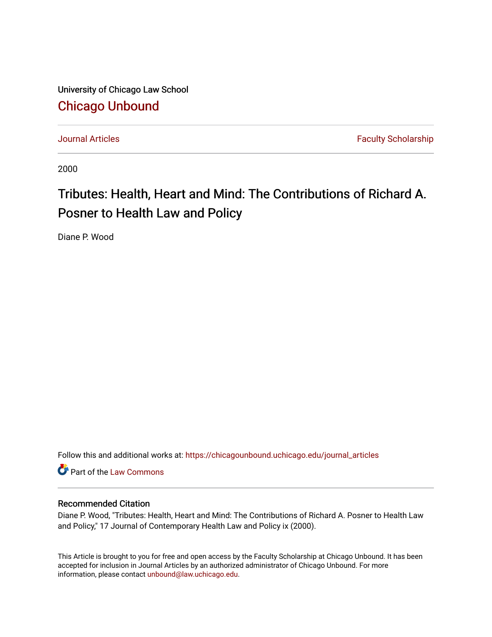University of Chicago Law School [Chicago Unbound](https://chicagounbound.uchicago.edu/)

[Journal Articles](https://chicagounbound.uchicago.edu/journal_articles) **Faculty Scholarship Journal Articles** 

2000

# Tributes: Health, Heart and Mind: The Contributions of Richard A. Posner to Health Law and Policy

Diane P. Wood

Follow this and additional works at: [https://chicagounbound.uchicago.edu/journal\\_articles](https://chicagounbound.uchicago.edu/journal_articles?utm_source=chicagounbound.uchicago.edu%2Fjournal_articles%2F7295&utm_medium=PDF&utm_campaign=PDFCoverPages) 

Part of the [Law Commons](http://network.bepress.com/hgg/discipline/578?utm_source=chicagounbound.uchicago.edu%2Fjournal_articles%2F7295&utm_medium=PDF&utm_campaign=PDFCoverPages)

### Recommended Citation

Diane P. Wood, "Tributes: Health, Heart and Mind: The Contributions of Richard A. Posner to Health Law and Policy," 17 Journal of Contemporary Health Law and Policy ix (2000).

This Article is brought to you for free and open access by the Faculty Scholarship at Chicago Unbound. It has been accepted for inclusion in Journal Articles by an authorized administrator of Chicago Unbound. For more information, please contact [unbound@law.uchicago.edu](mailto:unbound@law.uchicago.edu).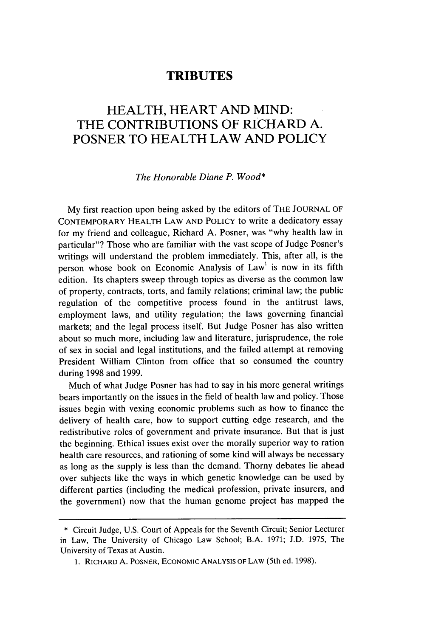## **TRIBUTES**

## HEALTH, HEART **AND MIND:** THE **CONTRIBUTIONS** OF RICHARD **A.** POSNER TO HEALTH LAW **AND** POLICY

#### *The Honorable Diane P. Wood\**

**My** first reaction upon being asked **by** the editors of THE **JOURNAL OF CONTEMPORARY HEALTH LAW AND** POLICY to write a dedicatory essay for my friend and colleague, Richard **A.** Posner, was "why health law in particular"? Those who are familiar with the vast scope of Judge Posner's writings will understand the problem immediately. This, after all, is the person whose book on Economic Analysis of  $Law<sup>1</sup>$  is now in its fifth edition. Its chapters sweep through topics as diverse as the common law of property, contracts, torts, and family relations; criminal law; the public regulation of the competitive process found in the antitrust laws, employment laws, and utility regulation; the laws governing financial markets; and the legal process itself. But Judge Posner has also written about so much more, including law and literature, jurisprudence, the role of sex in social and legal institutions, and the failed attempt at removing President William Clinton from office that so consumed the country during **1998** and **1999.**

Much of what Judge Posner has had to say in his more general writings bears importantly on the issues in the field of health law and policy. Those issues begin with vexing economic problems such as how to finance the delivery of health care, how to support cutting edge research, and the redistributive roles of government and private insurance. But that is just the beginning. Ethical issues exist over the morally superior way to ration health care resources, and rationing of some kind will always be necessary as long as the supply is less than the demand. Thorny debates lie ahead over subjects like the ways in which genetic knowledge can be used **by** different parties (including the medical profession, private insurers, and the government) now that the human genome project has mapped the

**<sup>\*</sup>** Circuit Judge, **U.S.** Court of Appeals for the Seventh Circuit; Senior Lecturer in Law, The University of Chicago Law School; B.A. **1971; J.D. 1975,** The University of Texas at Austin.

**<sup>1.</sup> RICHARD A. POSNER, ECONOMIC ANALYSIS OF LAW** (5th ed. **1998).**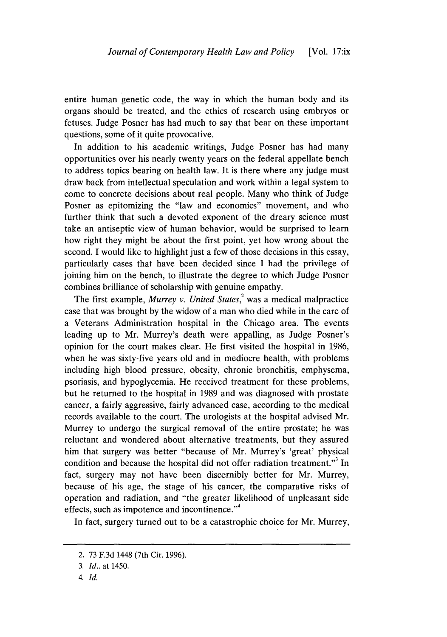entire human genetic code, the way in which the human body and its organs should be treated, and the ethics of research using embryos or fetuses. Judge Posner has had much to say that bear on these important questions, some of it quite provocative.

In addition to his academic writings, Judge Posner has had many opportunities over his nearly twenty years on the federal appellate bench to address topics bearing on health law. It is there where any judge must draw back from intellectual speculation and work within a legal system to come to concrete decisions about real people. Many who think of Judge Posner as epitomizing the "law and economics" movement, and who further think that such a devoted exponent of the dreary science must take an antiseptic view of human behavior, would be surprised to learn how right they might be about the first point, yet how wrong about the second. I would like to highlight just a few of those decisions in this essay, particularly cases that have been decided since I had the privilege of joining him on the bench, to illustrate the degree to which Judge Posner combines brilliance of scholarship with genuine empathy.

The first example, *Murrey v. United States*,<sup>2</sup> was a medical malpractice case that was brought by the widow of a man who died while in the care of a Veterans Administration hospital in the Chicago area. The events leading up to Mr. Murrey's death were appalling, as Judge Posner's opinion for the court makes clear. He first visited the hospital in 1986, when he was sixty-five years old and in mediocre health, with problems including high blood pressure, obesity, chronic bronchitis, emphysema, psoriasis, and hypoglycemia. He received treatment for these problems, but he returned to the hospital in 1989 and was diagnosed with prostate cancer, a fairly aggressive, fairly advanced case, according to the medical records available to the court. The urologists at the hospital advised Mr. Murrey to undergo the surgical removal of the entire prostate; he was reluctant and wondered about alternative treatments, but they assured him that surgery was better "because of Mr. Murrey's 'great' physical condition and because the hospital did not offer radiation treatment."<sup>3</sup> In fact, surgery may not have been discernibly better for Mr. Murrey, because of his age, the stage of his cancer, the comparative risks of operation and radiation, and "the greater likelihood of unpleasant side effects, such as impotence and incontinence."<sup>4</sup>

In fact, surgery turned out to be a catastrophic choice for Mr. Murrey,

<sup>2.</sup> 73 F.3d 1448 (7th Cir. 1996).

<sup>3.</sup> *Id..* at 1450.

<sup>4.</sup> *Id.*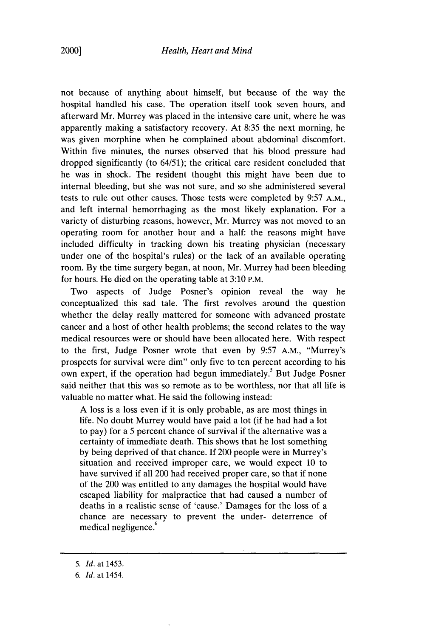not because of anything about himself, but because of the way the hospital handled his case. The operation itself took seven hours, and afterward Mr. Murrey was placed in the intensive care unit, where he was apparently making a satisfactory recovery. At 8:35 the next morning, he was given morphine when he complained about abdominal discomfort. Within five minutes, the nurses observed that his blood pressure had dropped significantly (to 64/51); the critical care resident concluded that he was in shock. The resident thought this might have been due to internal bleeding, but she was not sure, and so she administered several tests to rule out other causes. Those tests were completed by 9:57 A.M., and left internal hemorrhaging as the most likely explanation. For a variety of disturbing reasons, however, Mr. Murrey was not moved to an operating room for another hour and a half: the reasons might have included difficulty in tracking down his treating physician (necessary under one of the hospital's rules) or the lack of an available operating room. By the time surgery began, at noon, Mr. Murrey had been bleeding for hours. He died on the operating table at 3:10 **P.M.**

Two aspects of Judge Posner's opinion reveal the way he conceptualized this sad tale. The first revolves around the question whether the delay really mattered for someone with advanced prostate cancer and a host of other health problems; the second relates to the way medical resources were or should have been allocated here. With respect to the first, Judge Posner wrote that even by 9:57 A.M., "Murrey's prospects for survival were dim" only five to ten percent according to his own expert, if the operation had begun immediately.<sup>5</sup> But Judge Posner said neither that this was so remote as to be worthless, nor that all life is valuable no matter what. He said the following instead:

A loss is a loss even if it is only probable, as are most things in life. No doubt Murrey would have paid a lot (if he had had a lot to pay) for a 5 percent chance of survival if the alternative was a certainty of immediate death. This shows that he lost something by being deprived of that chance. If 200 people were in Murrey's situation and received improper care, we would expect 10 to have survived if all 200 had received proper care, so that if none of the 200 was entitled to any damages the hospital would have escaped liability for malpractice that had caused a number of deaths in a realistic sense of 'cause.' Damages for the loss of a chance are necessary to prevent the under- deterrence of medical negligence.<sup>6</sup>

*<sup>5.</sup> Id.* at 1453.

*<sup>6.</sup> Id.* at 1454.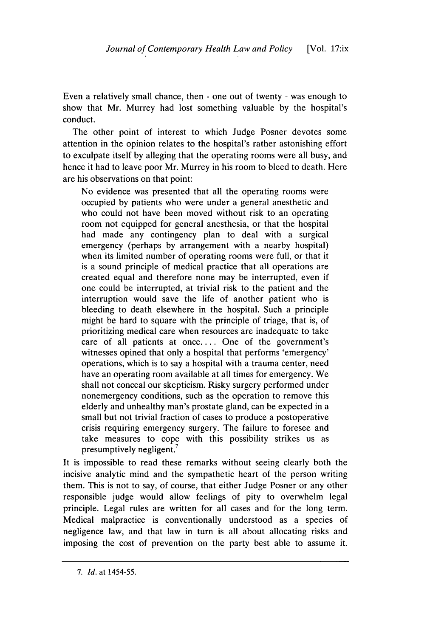Even a relatively small chance, then - one out of twenty - was enough to show that Mr. Murrey had lost something valuable by the hospital's conduct.

The other point of interest to which Judge Posner devotes some attention in the opinion relates to the hospital's rather astonishing effort to exculpate itself by alleging that the operating rooms were all busy, and hence it had to leave poor Mr. Murrey in his room to bleed to death. Here are his observations on that point:

No evidence was presented that all the operating rooms were occupied by patients who were under a general anesthetic and who could not have been moved without risk to an operating room not equipped for general anesthesia, or that the hospital had made any contingency plan to deal with a surgical emergency (perhaps by arrangement with a nearby hospital) when its limited number of operating rooms were full, or that it is a sound principle of medical practice that all operations are created equal and therefore none may be interrupted, even if one could be interrupted, at trivial risk to the patient and the interruption would save the life of another patient who is bleeding to death elsewhere in the hospital. Such a principle might be hard to square with the principle of triage, that is, of prioritizing medical care when resources are inadequate to take care of all patients at once.... One of the government's witnesses opined that only a hospital that performs 'emergency' operations, which is to say a hospital with a trauma center, need have an operating room available at all times for emergency. We shall not conceal our skepticism. Risky surgery performed under nonemergency conditions, such as the operation to remove this elderly and unhealthy man's prostate gland, can be expected in a small but not trivial fraction of cases to produce a postoperative crisis requiring emergency surgery. The failure to foresee and take measures to cope with this possibility strikes us as presumptively negligent

It is impossible to read these remarks without seeing clearly both the incisive analytic mind and the sympathetic heart of the person writing them. This is not to say, of course, that either Judge Posner or any other responsible judge would allow feelings of pity to overwhelm legal principle. Legal rules are written for all cases and for the long term. Medical malpractice is conventionally understood as a species of negligence law, and that law in turn is all about allocating risks and imposing the cost of prevention on the party best able to assume it.

*<sup>7.</sup> Id.* at 1454-55.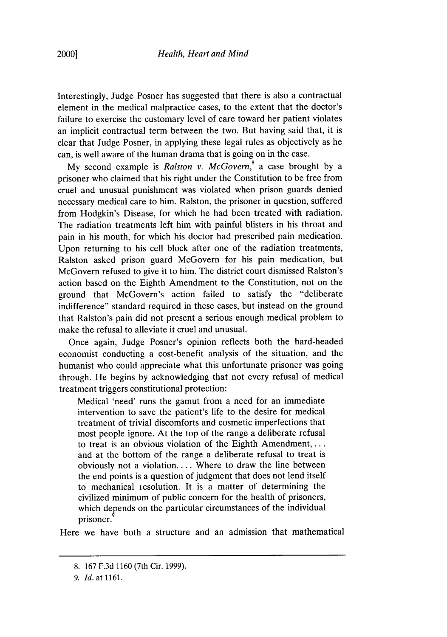Interestingly, Judge Posner has suggested that there is also a contractual element in the medical malpractice cases, to the extent that the doctor's failure to exercise the customary level of care toward her patient violates an implicit contractual term between the two. But having said that, it is clear that Judge Posner, in applying these legal rules as objectively as he can, is well aware of the human drama that is going on in the case.

My second example is *Ralston v. McGovern,'* a case brought by a prisoner who claimed that his right under the Constitution to be free from cruel and unusual punishment was violated when prison guards denied necessary medical care to him. Ralston, the prisoner in question, suffered from Hodgkin's Disease, for which he had been treated with radiation. The radiation treatments left him with painful blisters in his throat and pain in his mouth, for which his doctor had prescribed pain medication. Upon returning to his cell block after one of the radiation treatments, Ralston asked prison guard McGovern for his pain medication, but McGovern refused to give it to him. The district court dismissed Ralston's action based on the Eighth Amendment to the Constitution, not on the ground that McGovern's action failed to satisfy the "deliberate indifference" standard required in these cases, but instead on the ground that Ralston's pain did not present a serious enough medical problem to make the refusal to alleviate it cruel and unusual.

Once again, Judge Posner's opinion reflects both the hard-headed economist conducting a cost-benefit analysis of the situation, and the humanist who could appreciate what this unfortunate prisoner was going through. He begins by acknowledging that not every refusal of medical treatment triggers constitutional protection:

Medical 'need' runs the gamut from a need for an immediate intervention to save the patient's life to the desire for medical treatment of trivial discomforts and cosmetic imperfections that most people ignore. At the top of the range a deliberate refusal to treat is an obvious violation of the Eighth Amendment,.... and at the bottom of the range a deliberate refusal to treat is obviously not a violation.... Where to draw the line between the end points is a question of judgment that does not lend itself to mechanical resolution. It is a matter of determining the civilized minimum of public concern for the health of prisoners, which depends on the particular circumstances of the individual prisoner.

Here we have both a structure and an admission that mathematical

<sup>8. 167</sup> F.3d 1160 (7th Cir. 1999).

<sup>9.</sup> *Id.* at 1161.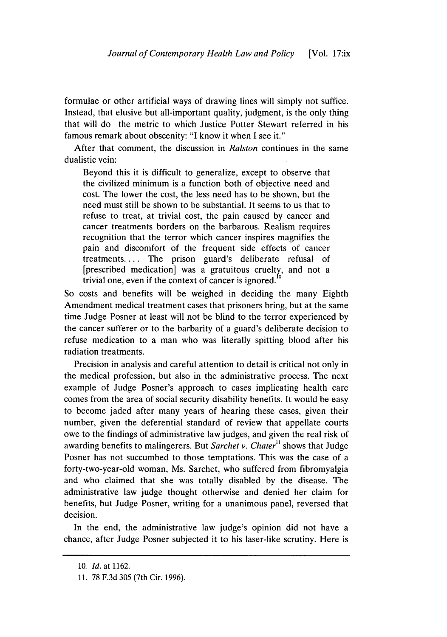formulae or other artificial ways of drawing lines will simply not suffice. Instead, that elusive but all-important quality, judgment, is the only thing that will do the metric to which Justice Potter Stewart referred in his famous remark about obscenity: "I know it when I see it."

After that comment, the discussion in *Ralston* continues in the same dualistic vein:

Beyond this it is difficult to generalize, except to observe that the civilized minimum is a function both of objective need and cost. The lower the cost, the less need has to be shown, but the need must still be shown to be substantial. It seems to us that to refuse to treat, at trivial cost, the pain caused by cancer and cancer treatments borders on the barbarous. Realism requires recognition that the terror which cancer inspires magnifies the pain and discomfort of the frequent side effects of cancer treatments.... The prison guard's deliberate refusal of [prescribed medication] was a gratuitous cruelty, and not a trivial one, even if the context of cancer is ignored.

So costs and benefits will be weighed in deciding the many Eighth Amendment medical treatment cases that prisoners bring, but at the same time Judge Posner at least will not be blind to the terror experienced by the cancer sufferer or to the barbarity of a guard's deliberate decision to refuse medication to a man who was literally spitting blood after his radiation treatments.

Precision in analysis and careful attention to detail is critical not only in the medical profession, but also in the administrative process. The next example of Judge Posner's approach to cases implicating health care comes from the area of social security disability benefits. It would be easy to become jaded after many years of hearing these cases, given their number, given the deferential standard of review that appellate courts owe to the findings of administrative law judges, and given the real risk of awarding benefits to malingerers. But *Sarchet v. Chater*<sup>11</sup> shows that Judge Posner has not succumbed to those temptations. This was the case of a forty-two-year-old woman, Ms. Sarchet, who suffered from fibromyalgia and who claimed that she was totally disabled by the disease. The administrative law judge thought otherwise and denied her claim for benefits, but Judge Posner, writing for a unanimous panel, reversed that decision.

In the end, the administrative law judge's opinion did not have a chance, after Judge Posner subjected it to his laser-like scrutiny. Here is

<sup>10.</sup> *Id.* at 1162.

<sup>11. 78</sup> F.3d 305 (7th Cir. 1996).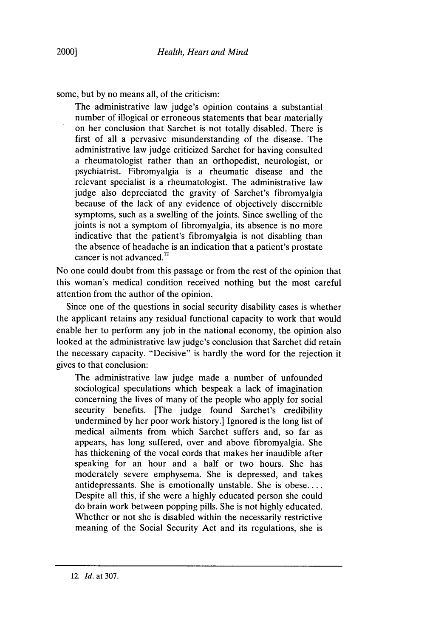some, but by no means all, of the criticism:

The administrative law judge's opinion contains a substantial number of illogical or erroneous statements that bear materially on her conclusion that Sarchet is not totally disabled. There is first of all a pervasive misunderstanding of the disease. The administrative law judge criticized Sarchet for having consulted a rheumatologist rather than an orthopedist, neurologist, or psychiatrist. Fibromyalgia is a rheumatic disease and the relevant specialist is a rheumatologist. The administrative law judge also depreciated the gravity of Sarchet's fibromyalgia because of the lack of any evidence of objectively discernible symptoms, such as a swelling of the joints. Since swelling of the joints is not a symptom of fibromyalgia, its absence is no more indicative that the patient's fibromyalgia is not disabling than the absence of headache is an indication that a patient's prostate cancer is not advanced.<sup>12</sup>

No one could doubt from this passage or from the rest of the opinion that this woman's medical condition received nothing but the most careful attention from the author of the opinion.

Since one of the questions in social security disability cases is whether the applicant retains any residual functional capacity to work that would enable her to perform any job in the national economy, the opinion also looked at the administrative law judge's conclusion that Sarchet did retain the necessary capacity. "Decisive" is hardly the word for the rejection it gives to that conclusion:

The administrative law judge made a number of unfounded sociological speculations which bespeak a lack of imagination concerning the lives of many of the people who apply for social security benefits. [The judge found Sarchet's credibility undermined by her poor work history.] Ignored is the long list of medical ailments from which Sarchet suffers and, so far as appears, has long suffered, over and above fibromyalgia. She has thickening of the vocal cords that makes her inaudible after speaking for an hour and a half or two hours. She has moderately severe emphysema. She is depressed, and takes antidepressants. She is emotionally unstable. She is obese.... Despite all this, if she were a highly educated person she could do brain work between popping pills. She is not highly educated. Whether or not she is disabled within the necessarily restrictive meaning of the Social Security Act and its regulations, she is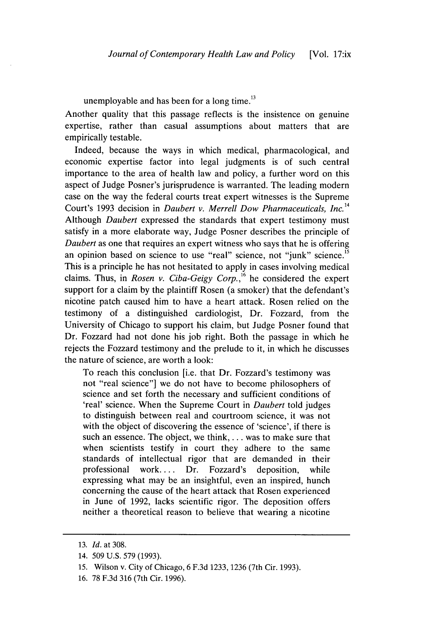unemployable and has been for a long time.<sup>13</sup>

Another quality that this passage reflects is the insistence on genuine expertise, rather than casual assumptions about matters that are empirically testable.

Indeed, because the ways in which medical, pharmacological, and economic expertise factor into legal judgments is of such central importance to the area of health law and policy, a further word on this aspect of Judge Posner's jurisprudence is warranted. The leading modern case on the way the federal courts treat expert witnesses is the Supreme Court's 1993 decision in *Daubert v. Merrell Dow Pharmaceuticals, Inc.14* Although *Daubert* expressed the standards that expert testimony must satisfy in a more elaborate way, Judge Posner describes the principle of *Daubert* as one that requires an expert witness who says that he is offering an opinion based on science to use "real" science, not "junk" science.<sup>1</sup> This is a principle he has not hesitated to apply in cases involving medical claims. Thus, in *Rosen v. Ciba-Geigy Corp.*,<sup>16</sup> he considered the expert support for a claim by the plaintiff Rosen (a smoker) that the defendant's nicotine patch caused him to have a heart attack. Rosen relied on the testimony of a distinguished cardiologist, Dr. Fozzard, from the University of Chicago to support his claim, but Judge Posner found that Dr. Fozzard had not done his job right. Both the passage in which he rejects the Fozzard testimony and the prelude to it, in which he discusses the nature of science, are worth a look:

To reach this conclusion [i.e. that Dr. Fozzard's testimony was not "real science"] we do not have to become philosophers of science and set forth the necessary and sufficient conditions of 'real' science. When the Supreme Court in *Daubert* told judges to distinguish between real and courtroom science, it was not with the object of discovering the essence of 'science', if there is such an essence. The object, we think,... was to make sure that when scientists testify in court they adhere to the same standards of intellectual rigor that are demanded in their professional work.... Dr. Fozzard's deposition, while expressing what may be an insightful, even an inspired, hunch concerning the cause of the heart attack that Rosen experienced in June of 1992, lacks scientific rigor. The deposition offers neither a theoretical reason to believe that wearing a nicotine

<sup>13.</sup> *Id.* at 308.

<sup>14. 509</sup> U.S. 579 (1993).

<sup>15.</sup> Wilson v. City of Chicago, 6 F.3d 1233, 1236 (7th Cir. 1993).

<sup>16. 78</sup> F.3d 316 (7th Cir. 1996).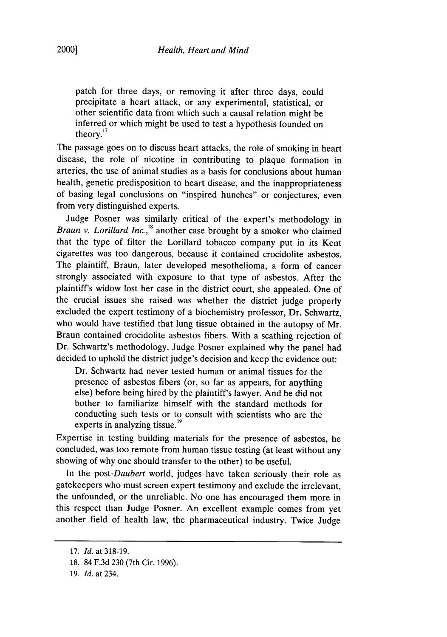patch for three days, or removing it after three days, could precipitate a heart attack, or any experimental, statistical, or other scientific data from which such a causal relation might be inferred or which might be used to test a hypothesis founded on theory."

The passage goes on to discuss heart attacks, the role of smoking in heart disease, the role of nicotine in contributing to plaque formation in arteries, the use of animal studies as a basis for conclusions about human health, genetic predisposition to heart disease, and the inappropriateness of basing legal conclusions on "inspired hunches" or conjectures, even from very distinguished experts.

Judge Posner was similarly critical of the expert's methodology in *Braun v. Lorillard Inc. ,18* another case brought by a smoker who claimed that the type of filter the Lorillard tobacco company put in its Kent cigarettes was too dangerous, because it contained crocidolite asbestos. The plaintiff, Braun, later developed mesothelioma, a form of cancer strongly associated with exposure to that type of asbestos. After the plaintiff's widow lost her case in the district court, she appealed. One of the crucial issues she raised was whether the district judge properly excluded the expert testimony of a biochemistry professor, Dr. Schwartz, who would have testified that lung tissue obtained in the autopsy of Mr. Braun contained crocidolite asbestos fibers. With a scathing rejection of Dr. Schwartz's methodology, Judge Posner explained why the panel had decided to uphold the district judge's decision and keep the evidence out:

Dr. Schwartz had never tested human or animal tissues for the presence of asbestos fibers (or, so far as appears, for anything else) before being hired by the plaintiff's lawyer. And he did not bother to familiarize himself with the standard methods for conducting such tests or to consult with scientists who are the experts in analyzing tissue.<sup>19</sup>

Expertise in testing building materials for the presence of asbestos, he concluded, was too remote from human tissue testing (at least without any showing of why one should transfer to the other) to be useful.

In the *post-Daubert* world, judges have taken seriously their role as gatekeepers who must screen expert testimony and exclude the irrelevant, the unfounded, or the unreliable. No one has encouraged them more in this respect than Judge Posner. An excellent example comes from yet another field of health law, the pharmaceutical industry. Twice Judge

<sup>17.</sup> *Id.* at 318-19.

<sup>18. 84</sup> F.3d 230 (7th Cir. 1996).

<sup>19.</sup> *Id.* at 234.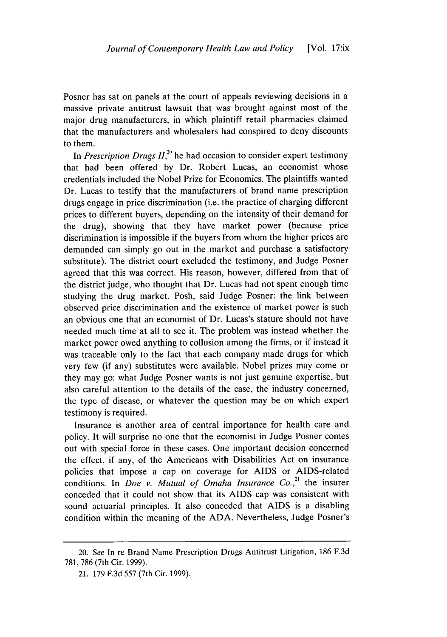Posner has sat on panels at the court of appeals reviewing decisions in a massive private antitrust lawsuit that was brought against most of the major drug manufacturers, in which plaintiff retail pharmacies claimed that the manufacturers and wholesalers had conspired to deny discounts to them.

In *Prescription Drugs II*,<sup>20</sup> he had occasion to consider expert testimony that had been offered by Dr. Robert Lucas, an economist whose credentials included the Nobel Prize for Economics. The plaintiffs wanted Dr. Lucas to testify that the manufacturers of brand name prescription drugs engage in price discrimination (i.e. the practice of charging different prices to different buyers, depending on the intensity of their demand for the drug), showing that they have market power (because price discrimination is impossible if the buyers from whom the higher prices are demanded can simply go out in the market and purchase a satisfactory substitute). The district court excluded the testimony, and Judge Posner agreed that this was correct. His reason, however, differed from that of the district judge, who thought that Dr. Lucas had not spent enough time studying the drug market. Posh, said Judge Posner: the link between observed price discrimination and the existence of market power is such an obvious one that an economist of Dr. Lucas's stature should not have needed much time at all to see it. The problem was instead whether the market power owed anything to collusion among the firms, or if instead it was traceable only to the fact that each company made drugs for which very few (if any) substitutes were available. Nobel prizes may come or they may go: what Judge Posner wants is not just genuine expertise, but also careful attention to the details of the case, the industry concerned, the type of disease, or whatever the question may be on which expert testimony is required.

Insurance is another area of central importance for health care and policy. It will surprise no one that the economist **in** Judge Posner comes out with special force in these cases. One important decision concerned the effect, if any, of the Americans with Disabilities Act on insurance policies that impose a cap on coverage for AIDS or AIDS-related conditions. In *Doe v. Mutual of Omaha Insurance Co.,"* the insurer conceded that it could not show that its AIDS cap was consistent with sound actuarial principles. It also conceded that AIDS is a disabling condition within the meaning of the ADA. Nevertheless, Judge Posner's

<sup>20.</sup> *See* In re Brand Name Prescription Drugs Antitrust Litigation, 186 F.3d 781, 786 (7th Cir. 1999).

<sup>21.</sup> 179 F.3d 557 (7th Cir. 1999).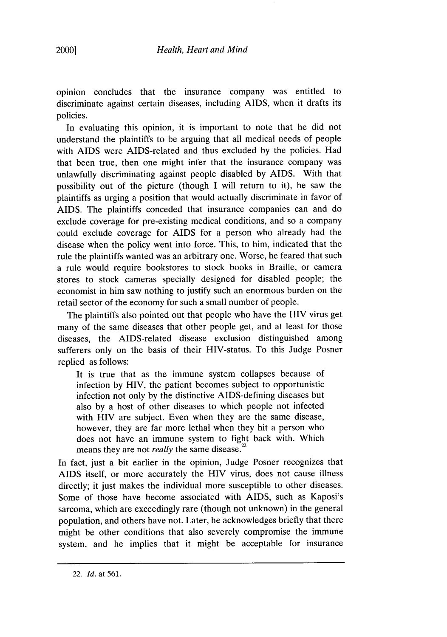opinion concludes that the insurance company was entitled to discriminate against certain diseases, including AIDS, when it drafts its policies.

In evaluating this opinion, it is important to note that he did not understand the plaintiffs to be arguing that all medical needs of people with AIDS were AIDS-related and thus excluded by the policies. Had that been true, then one might infer that the insurance company was unlawfully discriminating against people disabled by AIDS. With that possibility out of the picture (though I will return to it), he saw the plaintiffs as urging a position that would actually discriminate in favor of AIDS. The plaintiffs conceded that insurance companies can and do exclude coverage for pre-existing medical conditions, and so a company could exclude coverage for AIDS for a person who already had the disease when the policy went into force. This, to him, indicated that the rule the plaintiffs wanted was an arbitrary one. Worse, he feared that such a rule would require bookstores to stock books in Braille, or camera stores to stock cameras specially designed for disabled people; the economist in him saw nothing to justify such an enormous burden on the retail sector of the economy for such a small number of people.

The plaintiffs also pointed out that people who have the HIV virus get many of the same diseases that other people get, and at least for those diseases, the AIDS-related disease exclusion distinguished among sufferers only on the basis of their HIV-status. To this Judge Posner replied as follows:

It is true that as the immune system collapses because of infection by HIV, the patient becomes subject to opportunistic infection not only by the distinctive AIDS-defining diseases but also by a host of other diseases to which people not infected with HIV are subject. Even when they are the same disease, however, they are far more lethal when they hit a person who does not have an immune system to fight back with. Which means they are not *really* the same disease.<sup>22</sup>

In fact, just a bit earlier in the opinion, Judge Posner recognizes that AIDS itself, or more accurately the HIV virus, does not cause illness directly; it just makes the individual more susceptible to other diseases. Some of those have become associated with AIDS, such as Kaposi's sarcoma, which are exceedingly rare (though not unknown) in the general population, and others have not. Later, he acknowledges briefly that there might be other conditions that also severely compromise the immune system, and he implies that it might be acceptable for insurance

<sup>22.</sup> *Id.* at 561.